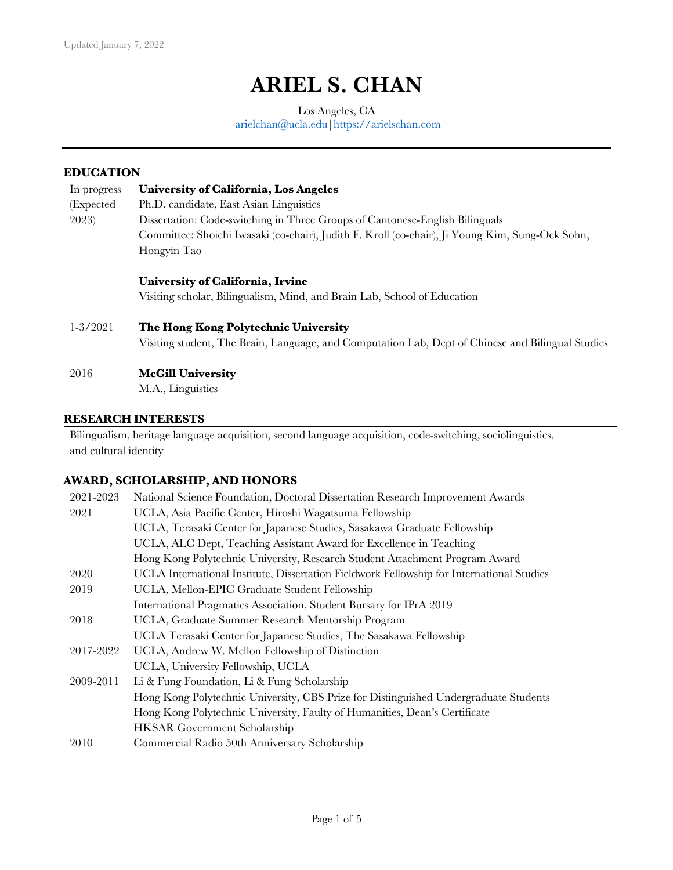# **ARIEL S. CHAN**

Los Angeles, CA arielchan@ucla.edu|https://arielschan.com

# **EDUCATION**

| In progress  | University of California, Los Angeles                                                             |
|--------------|---------------------------------------------------------------------------------------------------|
| (Expected    | Ph.D. candidate, East Asian Linguistics                                                           |
| 2023)        | Dissertation: Code-switching in Three Groups of Cantonese-English Bilinguals                      |
|              | Committee: Shoichi Iwasaki (co-chair), Judith F. Kroll (co-chair), Ji Young Kim, Sung-Ock Sohn,   |
|              | Hongyin Tao                                                                                       |
|              | University of California, Irvine                                                                  |
|              | Visiting scholar, Bilingualism, Mind, and Brain Lab, School of Education                          |
| $1 - 3/2021$ | The Hong Kong Polytechnic University                                                              |
|              | Visiting student, The Brain, Language, and Computation Lab, Dept of Chinese and Bilingual Studies |
| 2016         | <b>McGill University</b>                                                                          |
|              | M.A., Linguistics                                                                                 |
|              |                                                                                                   |

# **RESEARCH INTERESTS**

Bilingualism, heritage language acquisition, second language acquisition, code-switching, sociolinguistics, and cultural identity

# **AWARD, SCHOLARSHIP, AND HONORS**

| 2021-2023 | National Science Foundation, Doctoral Dissertation Research Improvement Awards            |
|-----------|-------------------------------------------------------------------------------------------|
| 2021      | UCLA, Asia Pacific Center, Hiroshi Wagatsuma Fellowship                                   |
|           | UCLA, Terasaki Center for Japanese Studies, Sasakawa Graduate Fellowship                  |
|           | UCLA, ALC Dept, Teaching Assistant Award for Excellence in Teaching                       |
|           | Hong Kong Polytechnic University, Research Student Attachment Program Award               |
| 2020      | UCLA International Institute, Dissertation Fieldwork Fellowship for International Studies |
| 2019      | UCLA, Mellon-EPIC Graduate Student Fellowship                                             |
|           | International Pragmatics Association, Student Bursary for IPrA 2019                       |
| 2018      | UCLA, Graduate Summer Research Mentorship Program                                         |
|           | UCLA Terasaki Center for Japanese Studies, The Sasakawa Fellowship                        |
| 2017-2022 | UCLA, Andrew W. Mellon Fellowship of Distinction                                          |
|           | UCLA, University Fellowship, UCLA                                                         |
| 2009-2011 | Li & Fung Foundation, Li & Fung Scholarship                                               |
|           | Hong Kong Polytechnic University, CBS Prize for Distinguished Undergraduate Students      |
|           | Hong Kong Polytechnic University, Faulty of Humanities, Dean's Certificate                |
|           | <b>HKSAR</b> Government Scholarship                                                       |
| 2010      | Commercial Radio 50th Anniversary Scholarship                                             |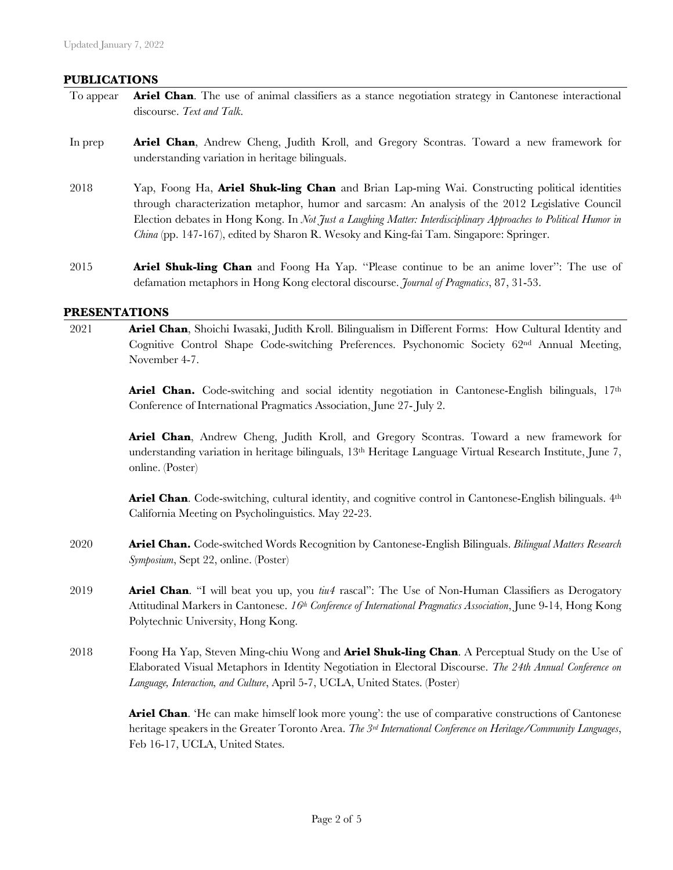## **PUBLICATIONS**

- To appear **Ariel Chan**. The use of animal classifiers as a stance negotiation strategy in Cantonese interactional discourse. *Text and Talk*.
- In prep **Ariel Chan**, Andrew Cheng, Judith Kroll, and Gregory Scontras. Toward a new framework for understanding variation in heritage bilinguals.
- 2018 Yap, Foong Ha, **Ariel Shuk-ling Chan** and Brian Lap-ming Wai. Constructing political identities through characterization metaphor, humor and sarcasm: An analysis of the 2012 Legislative Council Election debates in Hong Kong. In *Not Just a Laughing Matter: Interdisciplinary Approaches to Political Humor in China* (pp. 147-167), edited by Sharon R. Wesoky and King-fai Tam. Singapore: Springer.
- 2015 **Ariel Shuk-ling Chan** and Foong Ha Yap. "Please continue to be an anime lover": The use of defamation metaphors in Hong Kong electoral discourse. *Journal of Pragmatics*, 87, 31-53.

#### **PRESENTATIONS**

2021 **Ariel Chan**, Shoichi Iwasaki, Judith Kroll. Bilingualism in Different Forms: How Cultural Identity and Cognitive Control Shape Code-switching Preferences. Psychonomic Society 62nd Annual Meeting, November 4-7.

> **Ariel Chan.** Code-switching and social identity negotiation in Cantonese-English bilinguals, 17<sup>th</sup> Conference of International Pragmatics Association, June 27- July 2.

> Ariel Chan, Andrew Cheng, Judith Kroll, and Gregory Scontras. Toward a new framework for understanding variation in heritage bilinguals, 13<sup>th</sup> Heritage Language Virtual Research Institute, June 7, online. (Poster)

> **Ariel Chan**. Code-switching, cultural identity, and cognitive control in Cantonese-English bilinguals.  $4<sup>th</sup>$ California Meeting on Psycholinguistics. May 22-23.

- 2020 **Ariel Chan.** Code-switched Words Recognition by Cantonese-English Bilinguals. *Bilingual Matters Research Symposium*, Sept 22, online. (Poster)
- 2019 **Ariel Chan**. "I will beat you up, you *tiu4* rascal": The Use of Non-Human Classifiers as Derogatory Attitudinal Markers in Cantonese. *16th Conference of International Pragmatics Association*, June 9-14, Hong Kong Polytechnic University, Hong Kong.
- 2018 Foong Ha Yap, Steven Ming-chiu Wong and **Ariel Shuk-ling Chan**. A Perceptual Study on the Use of Elaborated Visual Metaphors in Identity Negotiation in Electoral Discourse. *The 24th Annual Conference on Language, Interaction, and Culture*, April 5-7, UCLA, United States. (Poster)

Ariel Chan. 'He can make himself look more young': the use of comparative constructions of Cantonese heritage speakers in the Greater Toronto Area. *The 3rd International Conference on Heritage/Community Languages*, Feb 16-17, UCLA, United States.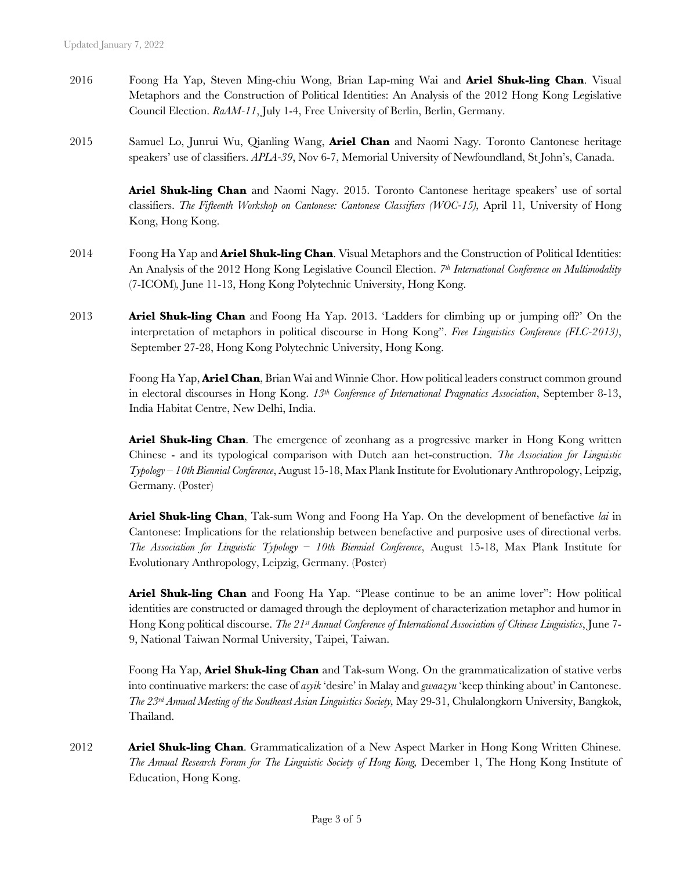- 2016 Foong Ha Yap, Steven Ming-chiu Wong, Brian Lap-ming Wai and **Ariel Shuk-ling Chan**. Visual Metaphors and the Construction of Political Identities: An Analysis of the 2012 Hong Kong Legislative Council Election. *RaAM-11*, July 1-4, Free University of Berlin, Berlin, Germany.
- 2015 Samuel Lo, Junrui Wu, Qianling Wang, **Ariel Chan** and Naomi Nagy. Toronto Cantonese heritage speakers' use of classifiers. *APLA-39*, Nov 6-7, Memorial University of Newfoundland, St John's, Canada.

**Ariel Shuk-ling Chan** and Naomi Nagy. 2015. Toronto Cantonese heritage speakers' use of sortal classifiers. *The Fifteenth Workshop on Cantonese: Cantonese Classifiers (WOC-15),* April 11*,* University of Hong Kong, Hong Kong.

- 2014 Foong Ha Yap and **Ariel Shuk-ling Chan**. Visual Metaphors and the Construction of Political Identities: An Analysis of the 2012 Hong Kong Legislative Council Election. *7th International Conference on Multimodality* (7-ICOM)*,* June 11-13, Hong Kong Polytechnic University, Hong Kong.
- 2013 **Ariel Shuk-ling Chan** and Foong Ha Yap. 2013. 'Ladders for climbing up or jumping off?' On the interpretation of metaphors in political discourse in Hong Kong". *Free Linguistics Conference (FLC-2013)*, September 27-28, Hong Kong Polytechnic University, Hong Kong.

Foong Ha Yap, **Ariel Chan**, Brian Wai and Winnie Chor. How political leaders construct common ground in electoral discourses in Hong Kong. *13th Conference of International Pragmatics Association*, September 8-13, India Habitat Centre, New Delhi, India.

**Ariel Shuk-ling Chan**. The emergence of zeonhang as a progressive marker in Hong Kong written Chinese - and its typological comparison with Dutch aan het-construction. *The Association for Linguistic Typology – 10th Biennial Conference*, August 15-18, Max Plank Institute for Evolutionary Anthropology, Leipzig, Germany. (Poster)

**Ariel Shuk-ling Chan**, Tak-sum Wong and Foong Ha Yap. On the development of benefactive *lai* in Cantonese: Implications for the relationship between benefactive and purposive uses of directional verbs. *The Association for Linguistic Typology – 10th Biennial Conference*, August 15-18, Max Plank Institute for Evolutionary Anthropology, Leipzig, Germany. (Poster)

**Ariel Shuk-ling Chan** and Foong Ha Yap. "Please continue to be an anime lover": How political identities are constructed or damaged through the deployment of characterization metaphor and humor in Hong Kong political discourse. *The 21st Annual Conference of International Association of Chinese Linguistics*, June 7- 9, National Taiwan Normal University, Taipei, Taiwan.

Foong Ha Yap, **Ariel Shuk-ling Chan** and Tak-sum Wong. On the grammaticalization of stative verbs into continuative markers: the case of *asyik* 'desire' in Malay and *gwaazyu* 'keep thinking about' in Cantonese. *The 23rd Annual Meeting of the Southeast Asian Linguistics Society,* May 29-31, Chulalongkorn University, Bangkok, Thailand.

2012 **Ariel Shuk-ling Chan**. Grammaticalization of a New Aspect Marker in Hong Kong Written Chinese. *The Annual Research Forum for The Linguistic Society of Hong Kong, December 1, The Hong Kong Institute of* Education, Hong Kong.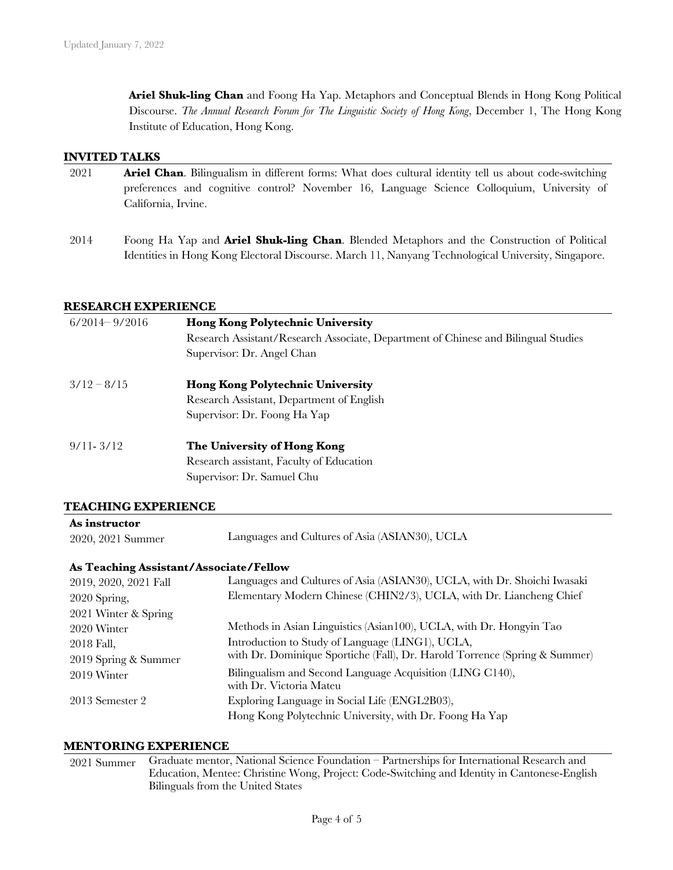**Ariel Shuk-ling Chan** and Foong Ha Yap. Metaphors and Conceptual Blends in Hong Kong Political Discourse. *The Annual Research Forum for The Linguistic Society of Hong Kong*, December 1, The Hong Kong Institute of Education, Hong Kong.

#### **INVITED TALKS**

- 2021 **Ariel Chan**. Bilingualism in different forms: What does cultural identity tell us about code-switching preferences and cognitive control? November 16, Language Science Colloquium, University of California, Irvine.
- 2014 Foong Ha Yap and **Ariel Shuk-ling Chan**. Blended Metaphors and the Construction of Political Identities in Hong Kong Electoral Discourse. March 11, Nanyang Technological University, Singapore.

#### **RESEARCH EXPERIENCE**

| $6/2014 - 9/2016$ | <b>Hong Kong Polytechnic University</b>                                            |
|-------------------|------------------------------------------------------------------------------------|
|                   | Research Assistant/Research Associate, Department of Chinese and Bilingual Studies |
|                   | Supervisor: Dr. Angel Chan                                                         |
| $3/12 - 8/15$     | <b>Hong Kong Polytechnic University</b>                                            |
|                   | Research Assistant, Department of English                                          |
|                   | Supervisor: Dr. Foong Ha Yap                                                       |
| $9/11 - 3/12$     | The University of Hong Kong                                                        |
|                   | Research assistant, Faculty of Education                                           |
|                   | Supervisor: Dr. Samuel Chu                                                         |

#### **TEACHING EXPERIENCE**

| As instructor     |                                                |  |  |  |
|-------------------|------------------------------------------------|--|--|--|
| 2020, 2021 Summer | Languages and Cultures of Asia (ASIAN30), UCLA |  |  |  |

#### **As Teaching Assistant/Associate/Fellow**

| 2019, 2020, 2021 Fall | Languages and Cultures of Asia (ASIAN30), UCLA, with Dr. Shoichi Iwasaki             |
|-----------------------|--------------------------------------------------------------------------------------|
| 2020 Spring,          | Elementary Modern Chinese (CHIN2/3), UCLA, with Dr. Liancheng Chief                  |
| 2021 Winter & Spring  |                                                                                      |
| 2020 Winter           | Methods in Asian Linguistics (Asian100), UCLA, with Dr. Hongyin Tao                  |
| 2018 Fall,            | Introduction to Study of Language (LING1), UCLA,                                     |
| 2019 Spring & Summer  | with Dr. Dominique Sportiche (Fall), Dr. Harold Torrence (Spring & Summer)           |
| 2019 Winter           | Bilingualism and Second Language Acquisition (LING C140),<br>with Dr. Victoria Mateu |
| 2013 Semester 2       | Exploring Language in Social Life (ENGL2B03),                                        |
|                       | Hong Kong Polytechnic University, with Dr. Foong Ha Yap                              |

#### **MENTORING EXPERIENCE**

2021 Summer Graduate mentor, National Science Foundation – Partnerships for International Research and Education, Mentee: Christine Wong, Project: Code-Switching and Identity in Cantonese-English Bilinguals from the United States